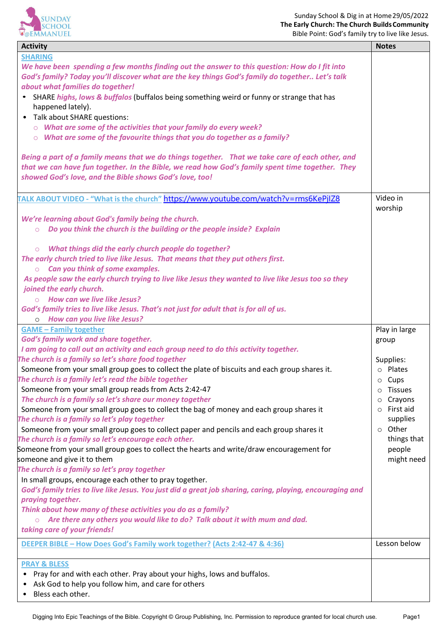

| <b>Activity</b>                                                                                           | <b>Notes</b>              |
|-----------------------------------------------------------------------------------------------------------|---------------------------|
| <b>SHARING</b>                                                                                            |                           |
| We have been spending a few months finding out the answer to this question: How do I fit into             |                           |
| God's family? Today you'll discover what are the key things God's family do together Let's talk           |                           |
| about what families do together!                                                                          |                           |
| • SHARE highs, lows & buffalos (buffalos being something weird or funny or strange that has               |                           |
| happened lately).                                                                                         |                           |
| Talk about SHARE questions:                                                                               |                           |
| $\circ$ What are some of the activities that your family do every week?                                   |                           |
| $\circ$ What are some of the favourite things that you do together as a family?                           |                           |
|                                                                                                           |                           |
| Being a part of a family means that we do things together. That we take care of each other, and           |                           |
| that we can have fun together. In the Bible, we read how God's family spent time together. They           |                           |
| showed God's love, and the Bible shows God's love, too!                                                   |                           |
|                                                                                                           |                           |
|                                                                                                           | Video in                  |
| <u>TALK ABOUT VIDEO - "What is the church" https://www.youtube.com/watch?v=rms6KePjIZ8</u>                | worship                   |
|                                                                                                           |                           |
| We're learning about God's family being the church.                                                       |                           |
| Do you think the church is the building or the people inside? Explain<br>$\circ$                          |                           |
|                                                                                                           |                           |
| What things did the early church people do together?<br>$\circ$                                           |                           |
| The early church tried to live like Jesus. That means that they put others first.                         |                           |
| $\circ$ Can you think of some examples.                                                                   |                           |
| As people saw the early church trying to live like Jesus they wanted to live like Jesus too so they       |                           |
| joined the early church.                                                                                  |                           |
| $\circ$ How can we live like Jesus?                                                                       |                           |
| God's family tries to live like Jesus. That's not just for adult that is for all of us.                   |                           |
| <b>How can you live like Jesus?</b><br>$\circ$                                                            |                           |
| <b>GAME - Family together</b>                                                                             | Play in large             |
| God's family work and share together.                                                                     | group                     |
| I am going to call out an activity and each group need to do this activity together.                      |                           |
| The church is a family so let's share food together                                                       | Supplies:                 |
| Someone from your small group goes to collect the plate of biscuits and each group shares it.             | o Plates                  |
| The church is a family let's read the bible together                                                      | $\circ$ Cups              |
| Someone from your small group reads from Acts 2:42-47                                                     | <b>Tissues</b><br>$\circ$ |
| The church is a family so let's share our money together                                                  | Crayons<br>$\circ$        |
| Someone from your small group goes to collect the bag of money and each group shares it                   | First aid                 |
| The church is a family so let's play together                                                             | supplies                  |
| Someone from your small group goes to collect paper and pencils and each group shares it                  | o Other                   |
| The church is a family so let's encourage each other.                                                     | things that               |
| Someone from your small group goes to collect the hearts and write/draw encouragement for                 | people                    |
| someone and give it to them                                                                               | might need                |
| The church is a family so let's pray together                                                             |                           |
| In small groups, encourage each other to pray together.                                                   |                           |
| God's family tries to live like Jesus. You just did a great job sharing, caring, playing, encouraging and |                           |
| praying together.                                                                                         |                           |
| Think about how many of these activities you do as a family?                                              |                           |
| Are there any others you would like to do? Talk about it with mum and dad.                                |                           |
| taking care of your friends!                                                                              |                           |
|                                                                                                           |                           |
| DEEPER BIBLE - How Does God's Family work together? (Acts 2:42-47 & 4:36)                                 | Lesson below              |
| <b>PRAY &amp; BLESS</b>                                                                                   |                           |
| Pray for and with each other. Pray about your highs, lows and buffalos.                                   |                           |
| Ask God to help you follow him, and care for others                                                       |                           |
| Bless each other.                                                                                         |                           |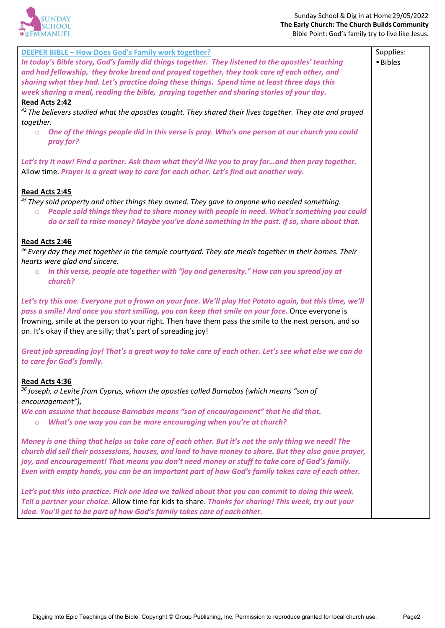

| <b>DEEPER BIBLE - How Does God's Family work together?</b>                                                                                                                                                                                                                                                                                                                                                          | Supplies: |
|---------------------------------------------------------------------------------------------------------------------------------------------------------------------------------------------------------------------------------------------------------------------------------------------------------------------------------------------------------------------------------------------------------------------|-----------|
| In today's Bible story, God's family did things together. They listened to the apostles' teaching                                                                                                                                                                                                                                                                                                                   | • Bibles  |
| and had fellowship, they broke bread and prayed together, they took care of each other, and                                                                                                                                                                                                                                                                                                                         |           |
| sharing what they had. Let's practice doing these things. Spend time at least three days this                                                                                                                                                                                                                                                                                                                       |           |
| week sharing a meal, reading the bible, praying together and sharing stories of your day.                                                                                                                                                                                                                                                                                                                           |           |
| Read Acts 2:42                                                                                                                                                                                                                                                                                                                                                                                                      |           |
| $42$ The believers studied what the apostles taught. They shared their lives together. They ate and prayed                                                                                                                                                                                                                                                                                                          |           |
| together.                                                                                                                                                                                                                                                                                                                                                                                                           |           |
| One of the things people did in this verse is pray. Who's one person at our church you could<br>$\circ$<br>pray for?                                                                                                                                                                                                                                                                                                |           |
| Let's try it now! Find a partner. Ask them what they'd like you to pray forand then pray together.<br>Allow time. Prayer is a great way to care for each other. Let's find out another way.                                                                                                                                                                                                                         |           |
| Read Acts 2:45<br>$45$ They sold property and other things they owned. They gave to anyone who needed something.<br>People sold things they had to share money with people in need. What's something you could<br>$\circ$<br>do or sell to raise money? Maybe you've done something in the past. If so, share about that.                                                                                           |           |
| Read Acts 2:46<br><sup>46</sup> Every day they met together in the temple courtyard. They ate meals together in their homes. Their<br>hearts were glad and sincere.<br>In this verse, people ate together with "joy and generosity." How can you spread joy at<br>$\circ$<br>church?                                                                                                                                |           |
| Let's try this one. Everyone put a frown on your face. We'll play Hot Potato again, but this time, we'll<br>pass a smile! And once you start smiling, you can keep that smile on your face. Once everyone is<br>frowning, smile at the person to your right. Then have them pass the smile to the next person, and so<br>on. It's okay if they are silly; that's part of spreading joy!                             |           |
| Great job spreading joy! That's a great way to take care of each other. Let's see what else we can do<br>to care for God's family.                                                                                                                                                                                                                                                                                  |           |
| Read Acts 4:36<br>$36$ Joseph, a Levite from Cyprus, whom the apostles called Barnabas (which means "son of<br>encouragement"),<br>We can assume that because Barnabas means "son of encouragement" that he did that.<br>What's one way you can be more encouraging when you're at church?<br>$\circ$                                                                                                               |           |
| Money is one thing that helps us take care of each other. But it's not the only thing we need! The<br>church did sell their possessions, houses, and land to have money to share. But they also gave prayer,<br>joy, and encouragement! That means you don't need money or stuff to take care of God's family.<br>Even with empty hands, you can be an important part of how God's family takes care of each other. |           |
| Let's put this into practice. Pick one idea we talked about that you can commit to doing this week.<br>Tell a partner your choice. Allow time for kids to share. Thanks for sharing! This week, try out your<br>idea. You'll get to be part of how God's family takes care of each other.                                                                                                                           |           |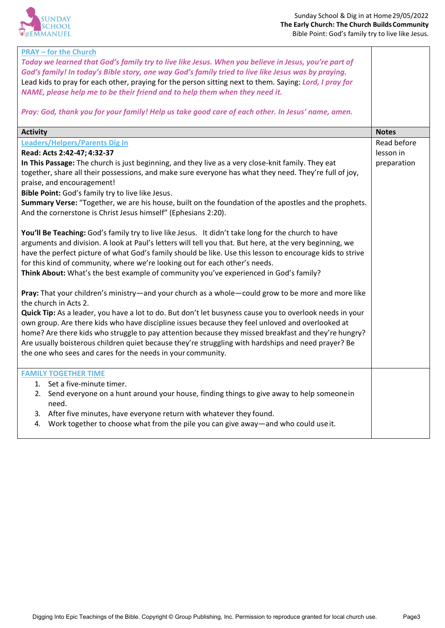

| <b>PRAY - for the Church</b><br>Today we learned that God's family try to live like Jesus. When you believe in Jesus, you're part of<br>God's family! In today's Bible story, one way God's family tried to live like Jesus was by praying.<br>Lead kids to pray for each other, praying for the person sitting next to them. Saying: Lord, I pray for<br>NAME, please help me to be their friend and to help them when they need it.<br>Pray: God, thank you for your family! Help us take good care of each other. In Jesus' name, amen.                                                                                |                                         |
|---------------------------------------------------------------------------------------------------------------------------------------------------------------------------------------------------------------------------------------------------------------------------------------------------------------------------------------------------------------------------------------------------------------------------------------------------------------------------------------------------------------------------------------------------------------------------------------------------------------------------|-----------------------------------------|
| <b>Activity</b>                                                                                                                                                                                                                                                                                                                                                                                                                                                                                                                                                                                                           | <b>Notes</b>                            |
| <b>Leaders/Helpers/Parents Dig In</b><br>Read: Acts 2:42-47; 4:32-37<br>In This Passage: The church is just beginning, and they live as a very close-knit family. They eat<br>together, share all their possessions, and make sure everyone has what they need. They're full of joy,<br>praise, and encouragement!<br>Bible Point: God's family try to live like Jesus.<br>Summary Verse: "Together, we are his house, built on the foundation of the apostles and the prophets.<br>And the cornerstone is Christ Jesus himself" (Ephesians 2:20).                                                                        | Read before<br>lesson in<br>preparation |
| You'll Be Teaching: God's family try to live like Jesus. It didn't take long for the church to have<br>arguments and division. A look at Paul's letters will tell you that. But here, at the very beginning, we<br>have the perfect picture of what God's family should be like. Use this lesson to encourage kids to strive<br>for this kind of community, where we're looking out for each other's needs.<br>Think About: What's the best example of community you've experienced in God's family?                                                                                                                      |                                         |
| Pray: That your children's ministry-and your church as a whole-could grow to be more and more like<br>the church in Acts 2.<br>Quick Tip: As a leader, you have a lot to do. But don't let busyness cause you to overlook needs in your<br>own group. Are there kids who have discipline issues because they feel unloved and overlooked at<br>home? Are there kids who struggle to pay attention because they missed breakfast and they're hungry?<br>Are usually boisterous children quiet because they're struggling with hardships and need prayer? Be<br>the one who sees and cares for the needs in your community. |                                         |
| <b>FAMILY TOGETHER TIME</b><br>1. Set a five-minute timer.<br>2. Send everyone on a hunt around your house, finding things to give away to help someonein<br>need.<br>3. After five minutes, have everyone return with whatever they found.<br>4. Work together to choose what from the pile you can give away—and who could use it.                                                                                                                                                                                                                                                                                      |                                         |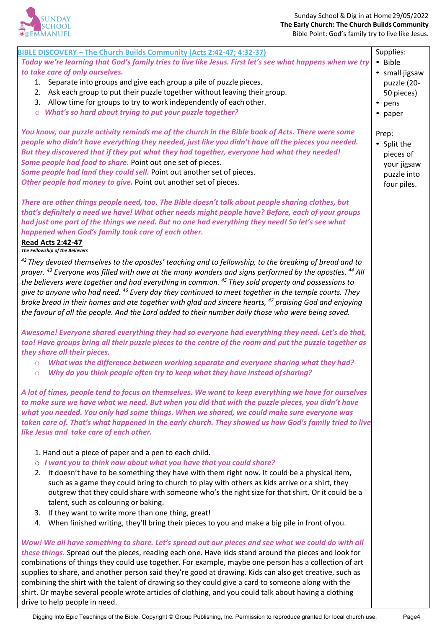

| BIBLE DISCOVERY - The Church Builds Community (Acts 2:42-47; 4:32-37)                                                         | Supplies:      |
|-------------------------------------------------------------------------------------------------------------------------------|----------------|
| Today we're learning that God's family tries to live like Jesus. First let's see what happens when we try                     | • Bible        |
| to take care of only ourselves.                                                                                               | • small jigsaw |
| 1. Separate into groups and give each group a pile of puzzle pieces.                                                          | puzzle (20-    |
| 2. Ask each group to put their puzzle together without leaving their group.                                                   | 50 pieces)     |
| Allow time for groups to try to work independently of each other.<br>3.                                                       | • pens         |
| What's so hard about trying to put your puzzle together?<br>$\circ$                                                           | • paper        |
|                                                                                                                               |                |
| You know, our puzzle activity reminds me of the church in the Bible book of Acts. There were some                             | Prep:          |
| people who didn't have everything they needed, just like you didn't have all the pieces you needed.                           | • Split the    |
| But they discovered that if they put what they had together, everyone had what they needed!                                   | pieces of      |
| Some people had food to share. Point out one set of pieces.                                                                   | your jigsaw    |
| Some people had land they could sell. Point out another set of pieces.                                                        | puzzle into    |
| Other people had money to give. Point out another set of pieces.                                                              | four piles.    |
| There are other things people need, too. The Bible doesn't talk about people sharing clothes, but                             |                |
| that's definitely a need we have! What other needs might people have? Before, each of your groups                             |                |
| had just one part of the things we need. But no one had everything they need! So let's see what                               |                |
| happened when God's family took care of each other.                                                                           |                |
| <b>Read Acts 2:42-47</b>                                                                                                      |                |
| The Fellowship of the Believers                                                                                               |                |
| $^{42}$ They devoted themselves to the apostles' teaching and to fellowship, to the breaking of bread and to                  |                |
| prayer. <sup>43</sup> Everyone was filled with awe at the many wonders and signs performed by the apostles. <sup>44</sup> All |                |
| the believers were together and had everything in common. <sup>45</sup> They sold property and possessions to                 |                |
| give to anyone who had need. <sup>46</sup> Every day they continued to meet together in the temple courts. They               |                |
| broke bread in their homes and ate together with glad and sincere hearts, <sup>47</sup> praising God and enjoying             |                |
| the favour of all the people. And the Lord added to their number daily those who were being saved.                            |                |
|                                                                                                                               |                |
| Awesome! Everyone shared everything they had so everyone had everything they need. Let's do that,                             |                |
| too! Have groups bring all their puzzle pieces to the centre of the room and put the puzzle together as                       |                |
| they share all their pieces.                                                                                                  |                |
| What was the difference between working separate and everyone sharing what they had?<br>$\circ$                               |                |
| Why do you think people often try to keep what they have instead of sharing?<br>$\circ$                                       |                |
| A lot of times, people tend to focus on themselves. We want to keep everything we have for ourselves                          |                |
| to make sure we have what we need. But when you did that with the puzzle pieces, you didn't have                              |                |
| what you needed. You only had some things. When we shared, we could make sure everyone was                                    |                |
| taken care of. That's what happened in the early church. They showed us how God's family tried to live                        |                |
| like Jesus and take care of each other.                                                                                       |                |
|                                                                                                                               |                |
| 1. Hand out a piece of paper and a pen to each child.                                                                         |                |
| o I want you to think now about what you have that you could share?                                                           |                |
| 2. It doesn't have to be something they have with them right now. It could be a physical item,                                |                |
| such as a game they could bring to church to play with others as kids arrive or a shirt, they                                 |                |
| outgrew that they could share with someone who's the right size for that shirt. Or it could be a                              |                |
| talent, such as colouring or baking.                                                                                          |                |
| If they want to write more than one thing, great!<br>3.                                                                       |                |
| 4. When finished writing, they'll bring their pieces to you and make a big pile in front of you.                              |                |
|                                                                                                                               |                |
| Wow! We all have something to share. Let's spread out our pieces and see what we could do with all                            |                |
| these things. Spread out the pieces, reading each one. Have kids stand around the pieces and look for                         |                |
| combinations of things they could use together. For example, maybe one person has a collection of art                         |                |
| supplies to share, and another person said they're good at drawing. Kids can also get creative, such as                       |                |
| combining the shirt with the talent of drawing so they could give a card to someone along with the                            |                |
| shirt. Or maybe several people wrote articles of clothing, and you could talk about having a clothing                         |                |
| drive to help people in need.                                                                                                 |                |